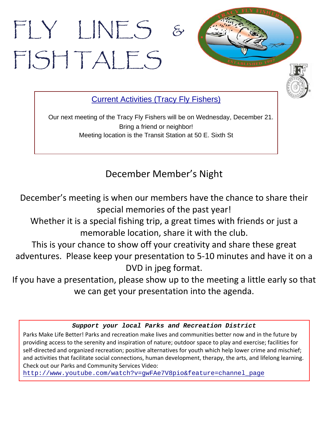# FLY LINES FISH TALES



Current Activities (Tracy Fly Fishers)

Our next meeting of the Tracy Fly Fishers will be on Wednesday, December 21. Bring a friend or neighbor! Meeting location is the Transit Station at 50 E. Sixth St

December Member's Night

December's meeting is when our members have the chance to share their special memories of the past year!

Whether it is a special fishing trip, a great times with friends or just a memorable location, share it with the club.

This is your chance to show off your creativity and share these great adventures. Please keep your presentation to 5‐10 minutes and have it on a DVD in jpeg format.

If you have a presentation, please show up to the meeting a little early so that we can get your presentation into the agenda.

### *Support your local Parks and Recreation District*

Parks Make Life Better! Parks and recreation make lives and communities better now and in the future by providing access to the serenity and inspiration of nature; outdoor space to play and exercise; facilities for self-directed and organized recreation; positive alternatives for youth which help lower crime and mischief; and activities that facilitate social connections, human development, therapy, the arts, and lifelong learning. Check out our Parks and Community Services Video:

http://www.youtube.com/watch?v=gwFAe7V8pio&feature=channel\_page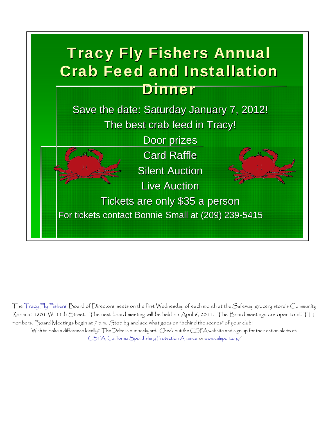## **Tracy Fly Fishers Annual Crab Feed and Installation Dinner**

Save the date: Saturday January 7, 2012! The best crab feed in Tracy! Door prizes **Card Raffle** 

**Silent Auction** 

**Live Auction** 

Tickets are only \$35 a person For tickets contact Bonnie Small at (209) 239-5415

The Tracy Fly Fishers' Board of Directors meets on the first Wednesday of each month at the Safeway grocery store's Community Room at 1801 W. 11th Street. The next board meeting will be held on April 6, 2011. The Board meetings are open to all TFF members. Board Meetings begin at 7 p.m. Stop by and see what goes on "behind the scenes" of your club! Wish to make a difference locally? The Delta is our backyard. Check out the CSPA website and sign up for their action alerts at:

CSPA, California Sportfishing Protection Alliance or www.calsport.org/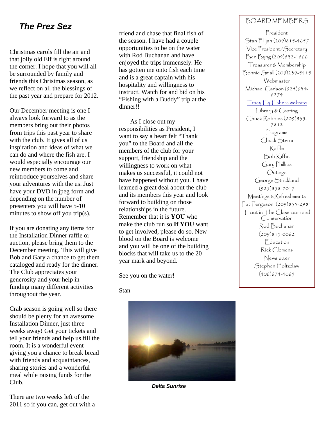### *The Prez Sez*

Christmas carols fill the air and that jolly old Elf is right around the corner. I hope that you will all be surrounded by family and friends this Christmas season, as we reflect on all the blessings of the past year and prepare for 2012.

Our December meeting is one I always look forward to as the members bring out their photos from trips this past year to share with the club. It gives all of us inspiration and ideas of what we can do and where the fish are. I would especially encourage our new members to come and reintroduce yourselves and share your adventures with the us. Just have your DVD in jpeg form and depending on the number of presenters you will have 5-10 minutes to show off you trip(s).

If you are donating any items for the Installation Dinner raffle or auction, please bring them to the December meeting. This will give Bob and Gary a chance to get them cataloged and ready for the dinner. The Club appreciates your generosity and your help in funding many different activities throughout the year.

Crab season is going well so there should be plenty for an awesome Installation Dinner, just three weeks away! Get your tickets and tell your friends and help us fill the room. It is a wonderful event giving you a chance to break bread with friends and acquaintances, sharing stories and a wonderful meal while raising funds for the Club.

There are two weeks left of the 2011 so if you can, get out with a friend and chase that final fish of the season. I have had a couple opportunities to be on the water with Rod Buchanan and have enjoyed the trips immensely. He has gotten me onto fish each time and is a great captain with his hospitality and willingness to instruct. Watch for and bid on his "Fishing with a Buddy" trip at the dinner!!

 As I close out my responsibilities as President, I want to say a heart felt "Thank you" to the Board and all the members of the club for your support, friendship and the willingness to work on what makes us successful, it could not have happened without you. I have learned a great deal about the club and its members this year and look forward to building on those relationships in the future. Remember that it is **YOU** who make the club run so **If YOU** want to get involved, please do so. New blood on the Board is welcome and you will be one of the building blocks that will take us to the 20 year mark and beyond.

See you on the water!

#### Stan



*Delta Sunrise* 

### BOARD MEMBERS

President Stan Elijah (209)815-4657 Vice President/Secretary Ben Byng (209)832-1866 Treasurer & Membership Bonnie Small (209)239-5415 Webmaster Michael Carlson (925)634- 6274 Tracy Fly Fishers website Library & Casting Chuck Robbins (209)835- 7812 Programs Chuck Sterni Raffle Bob Kiffin Gary Phillips Outings George Strickland (925)858-7017 Meetings &Refreshments Pat Ferguson (209)835-2981 Trout in The Classroom and Conservation Rod Buchanan (209)815-0062 Education Rick Clemens Newsletter Stephen Holtzclaw (408)674-4065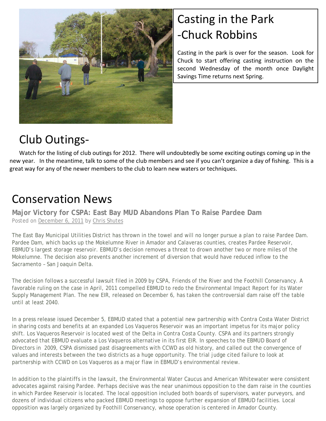

### Casting in the Park ‐Chuck Robbins

Casting in the park is over for the season. Look for Chuck to start offering casting instruction on the second Wednesday of the month once Daylight Savings Time returns next Spring.

### Club Outings‐

Watch for the listing of club outings for 2012. There will undoubtedly be some exciting outings coming up in the new year. In the meantime, talk to some of the club members and see if you can't organize a day of fishing. This is a great way for any of the newer members to the club to learn new waters or techniques.

### Conservation News

**Major Victory for CSPA: East Bay MUD Abandons Plan To Raise Pardee Dam**  Posted on December 6, 2011 by Chris Shutes

The East Bay Municipal Utilities District has thrown in the towel and will no longer pursue a plan to raise Pardee Dam. Pardee Dam, which backs up the Mokelumne River in Amador and Calaveras counties, creates Pardee Reservoir, EBMUD's largest storage reservoir. EBMUD's decision removes a threat to drown another two or more miles of the Mokelumne. The decision also prevents another increment of diversion that would have reduced inflow to the Sacramento – San Joaquin Delta.

The decision follows a successful lawsuit filed in 2009 by CSPA, Friends of the River and the Foothill Conservancy. A favorable ruling on the case in April, 2011 compelled EBMUD to redo the Environmental Impact Report for its Water Supply Management Plan. The new EIR, released on December 6, has taken the controversial dam raise off the table until at least 2040.

In a press release issued December 5, EBMUD stated that a potential new partnership with Contra Costa Water District in sharing costs and benefits at an expanded Los Vaqueros Reservoir was an important impetus for its major policy shift. Los Vaqueros Reservoir is located west of the Delta in Contra Costa County. CSPA and its partners strongly advocated that EBMUD evaluate a Los Vaqueros alternative in its first EIR. In speeches to the EBMUD Board of Directors in 2009, CSPA dismissed past disagreements with CCWD as old history, and called out the convergence of values and interests between the two districts as a huge opportunity. The trial judge cited failure to look at partnership with CCWD on Los Vaqueros as a major flaw in EBMUD's environmental review.

In addition to the plaintiffs in the lawsuit, the Environmental Water Caucus and American Whitewater were consistent advocates against raising Pardee. Perhaps decisive was the near unanimous opposition to the dam raise in the counties in which Pardee Reservoir is located. The local opposition included both boards of supervisors, water purveyors, and dozens of individual citizens who packed EBMUD meetings to oppose further expansion of EBMUD facilities. Local opposition was largely organized by Foothill Conservancy, whose operation is centered in Amador County.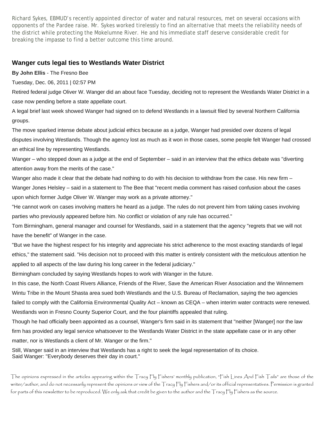Richard Sykes, EBMUD's recently appointed director of water and natural resources, met on several occasions with opponents of the Pardee raise. Mr. Sykes worked tirelessly to find an alternative that meets the reliability needs of the district while protecting the Mokelumne River. He and his immediate staff deserve considerable credit for breaking the impasse to find a better outcome this time around.

#### **Wanger cuts legal ties to Westlands Water District**

**By John Ellis** - The Fresno Bee

Tuesday, Dec. 06, 2011 | 02:57 PM

Retired federal judge Oliver W. Wanger did an about face Tuesday, deciding not to represent the Westlands Water District in a case now pending before a state appellate court.

A legal brief last week showed Wanger had signed on to defend Westlands in a lawsuit filed by several Northern California groups.

The move sparked intense debate about judicial ethics because as a judge, Wanger had presided over dozens of legal disputes involving Westlands. Though the agency lost as much as it won in those cases, some people felt Wanger had crossed an ethical line by representing Westlands.

Wanger – who stepped down as a judge at the end of September – said in an interview that the ethics debate was "diverting attention away from the merits of the case."

Wanger also made it clear that the debate had nothing to do with his decision to withdraw from the case. His new firm – Wanger Jones Helsley – said in a statement to The Bee that "recent media comment has raised confusion about the cases upon which former Judge Oliver W. Wanger may work as a private attorney."

"He cannot work on cases involving matters he heard as a judge. The rules do not prevent him from taking cases involving parties who previously appeared before him. No conflict or violation of any rule has occurred."

Tom Birmingham, general manager and counsel for Westlands, said in a statement that the agency "regrets that we will not have the benefit" of Wanger in the case.

"But we have the highest respect for his integrity and appreciate his strict adherence to the most exacting standards of legal ethics," the statement said. "His decision not to proceed with this matter is entirely consistent with the meticulous attention he applied to all aspects of the law during his long career in the federal judiciary."

Birmingham concluded by saying Westlands hopes to work with Wanger in the future.

In this case, the North Coast Rivers Alliance, Friends of the River, Save the American River Association and the Winnemem Wintu Tribe in the Mount Shasta area sued both Westlands and the U.S. Bureau of Reclamation, saying the two agencies failed to comply with the California Environmental Quality Act – known as CEQA – when interim water contracts were renewed. Westlands won in Fresno County Superior Court, and the four plaintiffs appealed that ruling.

Though he had officially been appointed as a counsel, Wanger's firm said in its statement that "neither [Wanger] nor the law firm has provided any legal service whatsoever to the Westlands Water District in the state appellate case or in any other matter, nor is Westlands a client of Mr. Wanger or the firm."

Still, Wanger said in an interview that Westlands has a right to seek the legal representation of its choice. Said Wanger: "Everybody deserves their day in court."

The opinions expressed in the articles appearing within the Tracy Fly Fishers' monthly publication, "Fish Lines And Fish Tails" are those of the writer/author, and do not necessarily represent the opinions or view of the Tracy Fly Fishers and/or its official representatives. Permission is granted for parts of this newsletter to be reproduced. We only ask that credit be given to the author and the Tracy Fly Fishers as the source.